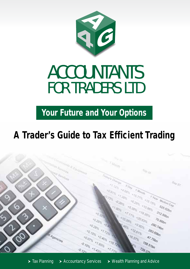

# **ACCOUNTANTS FOR TRADERS LTD**

**Your Future and Your Options**

# **A Trader's Guide to Tax Efficient Trading**

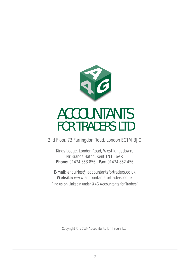

# **ACCOUNTANTS FOR TRADERS LTD**

2nd Floor, 73 Farringdon Road, London EC1M 3JQ

Kings Lodge, London Road, West Kingsdown, Nr Brands Hatch, Kent TN15 6AR **Phone:** 01474 853 856 **Fax:** 01474 852 456

**E-mail:** enquiries@accountantsfortraders.co.uk **Website:** www.accountantsfortraders.co.uk

Find us on Linkedin under 'A4G Accountants for Traders'

Copyright © 2013- Accountants for Traders Ltd.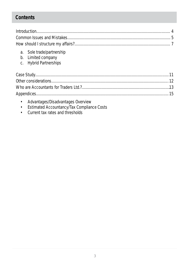### **Contents**

- a. Sole trade/partnership
- b. Limited company
- c. Hybrid Partnerships

- Advantages/Disadvantages Overview  $\bullet$
- Estimated Accountancy/Tax Compliance Costs  $\bullet$
- Current tax rates and thresholds  $\bullet$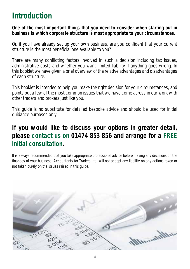## **Introduction**

**One of the most important things that you need to consider when starting out in business is which corporate structure is most appropriate to your circumstances.**

Or, if you have already set up your own business, are you confident that your current structure is the most beneficial one available to you?

There are many conflicting factors involved in such a decision including tax issues, administrative costs and whether you want limited liability if anything goes wrong. In this booklet we have given a brief overview of the relative advantages and disadvantages of each structure.

This booklet is intended to help you make the right decision for your circumstances, and points out a few of the most common issues that we have come across in our work with other traders and brokers just like you.

This guide is no substitute for detailed bespoke advice and should be used for initial guidance purposes only.

### **If you would like to discuss your options in greater detail, please contact us on 01474 853 856 and arrange for a FREE initial consultation.**

It is always recommended that you take appropriate professional advice before making any decisions on the finances of your business. Accountants for Traders Ltd. will not accept any liability on any actions taken or not taken purely on the issues raised in this guide.

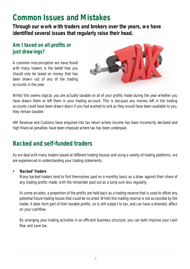### **Common Issues and Mistakes**

**Through our work with traders and brokers over the years, we have identified several issues that regularly raise their head.** 

### **Am I taxed on all profits or just drawings?**

A common misconception we have found with many traders is the belief that you should only be taxed on money that has been drawn out of any of the trading accounts in the year.



Whilst this seems logical, you are actually taxable on all of your profits made during the year whether you have drawn them or left them in your trading account. This is because any monies left in the trading accounts could have been drawn down if you had wanted to and as they would have been available to you, they remain taxable.

HM Revenue and Customs have enquired into tax return where income has been incorrectly declared and high financial penalties have been imposed where tax has been underpaid.

### **Backed and self-funded traders**

As we deal with many traders based at different trading houses and using a variety of trading platforms, we are experienced in understanding your trading statements.

#### **• 'Backed' Traders**

Many backed traders tend to find themselves paid on a monthly basis as a draw against their share of any trading profits made, with the remainder paid out as a lump sum less regularly.

At some arcades, a proportion of the profits are held back as a trading reserve that is used to offset any potential future trading losses that could be incurred. Whilst this trading reserve is not accessible by the trader, it does form part of their taxable profits, so is still subject to tax, and can have a dramatic affect on your cashflow.

By arranging your trading activities in an efficient business structure, you can both improve your cash flow and save tax.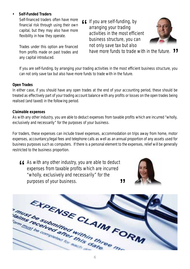#### **• Self-Funded Traders**

Self-financed traders often have more financial risk through using their own capital, but they may also have more flexibility in how they operate.

Trades under this option are financed from profits made on past trades and any capital introduced.

*If you are self-funding, by*<br> *arranging your trading*<br> *activities in the most effice arranging your trading activities in the most efficient business structure, you can not only save tax but also have more funds to trade with in the future.* "



If you are self-funding, by arranging your trading activities in the most efficient business structure, you can not only save tax but also have more funds to trade with in the future.

#### **Open Trades**

In either case, if you should have any open trades at the end of your accounting period, these should be treated as effectively part of your trading account balance with any profits or losses on the open trades being realised (and taxed) in the following period.

#### **Claimable expenses**

As with any other industry, you are able to deduct expenses from taxable profits which are incurred "wholly, exclusively and necessarily" for the purposes of your business.

For traders, these expenses can include travel expenses, accommodation on trips away from home, motor expenses, accountancy/legal fees and telephone calls as well as an annual proportion of any assets used for business purposes such as computers. If there is a personal element to the expenses, relief will be generally restricted to the business proportion.

*As with any other industry, you are able to deduct*<br>expenses from taxable profits which are incurred<br>"wholly exclusively and necessarily" for the *expenses from taxable profits which are incurred "wholly, exclusively and necessarily" for the purposes of your business.* "



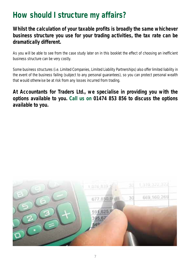# **How should I structure my affairs?**

### **Whilst the calculation of your taxable profits is broadly the same whichever business structure you use for your trading activities, the tax rate can be dramatically different.**

As you will be able to see from the case study later on in this booklet the effect of choosing an inefficient business structure can be very costly.

Some business structures (i.e. Limited Companies, Limited Liability Partnerships) also offer limited liability in the event of the business failing (subject to any personal guarantees), so you can protect personal wealth that would otherwise be at risk from any losses incurred from trading.

**At Accountants for Traders Ltd., we specialise in providing you with the options available to you. Call us on 01474 853 856 to discuss the options available to you.**

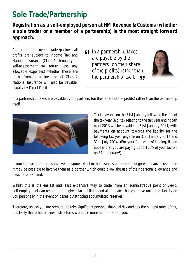# **Sole Trade/Partnership**

**Registration as a self-employed person at HM Revenue & Customs (whether a sole trader or a member of a partnership) is the most straight forward approach.** 

As a self-employed trader/partner all profits are subject to Income Tax and National Insurance (Class 4) through your self-assessment tax return (less any allowable expenses) whether these are drawn from the business or not. Class 2 National Insurance will also be payable, usually by Direct Debit.

*If* In a partnership, taxes<br>are payable by the<br>partners (on their share *are payable by the partners (on their share of the profits) rather than the partnership itself.* "



In a partnership, taxes are payable by the partners (on their share of the profits) rather than the partnership itself.



Tax is payable on the 31st January following the end of the tax year (e.g. tax relating to the tax year ending 5th April 2013 will be payable on 31st January 2014) with payments on account towards the liability for the following tax year payable on 31st January 2014 and 31st July 2014. (For your first year of trading, it can appear that you are paying up to 150% of your tax bill on 31st January!)

If your spouse or partner is involved to some extent in the business or has some degree of financial risk, then it may be possible to involve them as a partner which could allow the use of their personal allowance and basic rate tax band.

Whilst this is the easiest and least expensive way to trade (from an administrative point of view), self-employment can result in the highest tax liabilities and also means that you have unlimited liability on you personally in the event of losses outstripping accumulated reserves.

Therefore, unless you are prepared to take significant personal financial risk and pay the highest rates of tax, it is likely that other business structures would be more appropriate to you.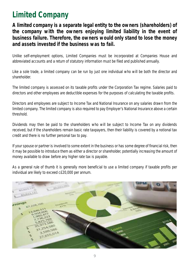# **Limited Company**

**A limited company is a separate legal entity to the owners (shareholders) of the company with the owners enjoying limited liability in the event of business failure. Therefore, the owners would only stand to lose the money and assets invested if the business was to fail.** 

Unlike self-employment options, Limited Companies must be incorporated at Companies House and abbreviated accounts and a return of statutory information must be filed and published annually.

Like a sole trade, a limited company can be run by just one individual who will be both the director and shareholder.

The limited company is assessed on its taxable profits under the Corporation Tax regime. Salaries paid to directors and other employees are deductible expenses for the purposes of calculating the taxable profits.

Directors and employees are subject to Income Tax and National Insurance on any salaries drawn from the limited company. The limited company is also required to pay Employer's National Insurance above a certain threshold.

Dividends may then be paid to the shareholders who will be subject to Income Tax on any dividends received, but if the shareholders remain basic rate taxpayers, then their liability is covered by a notional tax credit and there is no further personal tax to pay.

If your spouse or partner is involved to some extent in the business or has some degree of financial risk, then it may be possible to introduce them as either a director or shareholder, potentially increasing the amount of money available to draw before any higher rate tax is payable.

As a general rule of thumb it is generally more beneficial to use a limited company if taxable profits per individual are likely to exceed c£20,000 per annum.

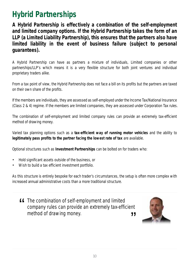# **Hybrid Partnerships**

**A Hybrid Partnership is effectively a combination of the self-employment and limited company options. If the Hybrid Partnership takes the form of an LLP (a Limited Liability Partnership), this ensures that the partners also have limited liability in the event of business failure (subject to personal guarantees).**

A Hybrid Partnership can have as partners a mixture of individuals, Limited companies or other partnerships/LLP's which means it is a very flexible structure for both joint ventures and individual proprietary traders alike.

From a tax point of view, the Hybrid Partnership does not face a bill on its profits but the partners are taxed on their own share of the profits.

If the members are individuals, they are assessed as self-employed under the Income Tax/National Insurance (Class 2 & 4) regime. If the members are limited companies, they are assessed under Corporation Tax rules.

The combination of self-employment and limited company rules can provide an extremely tax-efficient method of drawing money.

Varied tax planning options such as a **tax-efficient way of running motor vehicles** and the ability to **legitimately pass profits to the partner facing the lowest rate of tax** are available.

Optional structures such as **Investment Partnerships** can be bolted on for traders who:

- Hold significant assets outside of the business, or
- Wish to build a tax efficient investment portfolio.

As this structure is entirely bespoke for each trader's circumstances, the setup is often more complex with increased annual administrative costs than a more traditional structure.

**ff** The combination of self-employment and limited " *company rules can provide an extremely tax-efficient method of drawing money.*

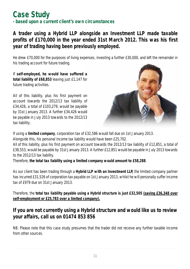### **Case Study - based upon a current client's own circumstances**

### **A trader using a Hybrid LLP alongside an Investment LLP made taxable profits of £170,000 in the year ended 31st March 2012. This was his first year of trading having been previously employed.**

He drew £70,000 for the purposes of living expenses, investing a further £30,000, and left the remainder in his trading account for future trading.

If **self-employed, he would have suffered a**  total liability of £68,853 leaving just £1,147 for future trading activities.

All of this liability, plus his first payment on account towards the 2012/13 tax liability of £34,426, a total of £103,279, would be payable by 31st January 2013. A further £34,426 would be payable in July 2013 towards to the 2012/13 tax liability.



If using a **limited company**, corporation tax of £32,586 would fall due on 1st January 2013.

Alongside this, his personal income tax liability would have been £25,702.

All of this liability, plus his first payment on account towards the 2012/13 tax liability of £12,851, a total of £38,553, would be payable by 31st January 2013. A further £12,851 would be payable in July 2013 towards to the 2012/13 tax liability.

Therefore, **the total tax liability using a limited company would amount to £58,288**.

As our client has been trading through a **Hybrid LLP with an Investment LLP,** the limited company partner has incurred £31,526 of corporation tax payable on 1st January 2013, whilst he will personally suffer income tax of £979 due on 31st January 2013.

Therefore, the **total tax liability payable using a Hybrid structure is just £32,505 (saving £36,348 over self-employment or £25,783 over a limited company).**

### **If you are not currently using a Hybrid structure and would like us to review your affairs, call us on 01474 853 856**

NB. Please note that this case study presumes that the trader did not receive any further taxable income from other sources.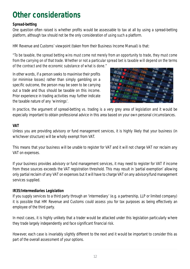# **Other considerations**

#### **Spread-betting**

One question often raised is whether profits would be assessable to tax at all by using a spread-betting platform, although tax should not be the only consideration of using such a platform.

HM Revenue and Customs' viewpoint (taken from their Business Income Manual) is that:

*"To be taxable, the spread betting wins must come not merely from an opportunity to trade, they must come from the carrying on of that trade. Whether or not a particular spread bet is taxable will depend on the terms of the contract and the economic substance of what is done."*

In other words, if a person seeks to maximise their profits (or minimise losses) rather than simply gambling on a specific outcome, the person may be seen to be carrying out a trade and thus should be taxable on this income. Prior experience in trading activities may further indicate the taxable nature of any 'winnings'.



In practice, the argument of spread-betting vs. trading is a very grey area of legislation and it would be especially important to obtain professional advice in this area based on your own personal circumstances.

#### **VAT**

Unless you are providing advisory or fund management services, it is highly likely that your business (in whichever structure) will be wholly exempt from VAT.

This means that your business will be unable to register for VAT and it will not charge VAT nor reclaim any VAT on expenses.

If your business provides advisory or fund management services, it may need to register for VAT if income from these sources exceeds the VAT registration threshold. This may result in 'partial exemption' allowing only partial reclaim of any VAT on expenses but it will have to charge VAT on any advisory/fund management services supplied.

#### **IR35/Intermediaries Legislation**

If you supply services to a third party through an 'intermediary' (e.g. a partnership, LLP or limited company) it is possible that HM Revenue and Customs could assess you for tax purposes as being effectively an employee of the third party.

In most cases, it is highly unlikely that a trader would be attacked under this legislation particularly where they trade largely independently and face significant financial risk.

However, each case is invariably slightly different to the next and it would be important to consider this as part of the overall assessment of your options.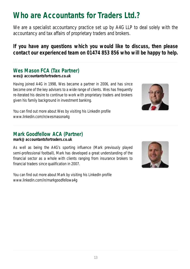# **Who are Accountants for Traders Ltd.?**

We are a specialist accountancy practice set up by A4G LLP to deal solely with the accountancy and tax affairs of proprietary traders and brokers.

**If you have any questions which you would like to discuss, then please contact our experienced team on 01474 853 856 who will be happy to help.** 

### **Wes Mason FCA (Tax Partner)**

**wes@accountantsfortraders.co.uk**

Having joined A4G in 1998, Wes became a partner in 2006, and has since become one of the key advisers to a wide range of clients. Wes has frequently re-iterated his desire to continue to work with proprietary traders and brokers given his family background in investment banking.



You can find out more about Wes by visiting his LinkedIn profile www.linkedin.com/in/wesmasona4g

### **Mark Goodfellow ACA (Partner)**

**mark@accountantsfortraders.co.uk**

As well as being the A4G's sporting influence (Mark previously played semi-professional football), Mark has developed a great understanding of the financial sector as a whole with clients ranging from insurance brokers to financial traders since qualification in 2007.

You can find out more about Mark by visiting his LinkedIn profile www.linkedin.com/in/markgoodfellowa4g

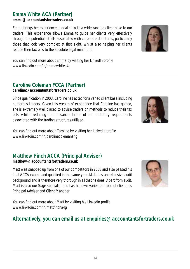### **Emma White ACA (Partner)**

#### **emma@accountantsfortraders.co.uk**

Emma brings her experience in dealing with a wide-ranging client base to our traders. This experience allows Emma to guide her clients very effectively through the potential pitfalls associated with corporate structures, particularly those that look very complex at first sight, whilst also helping her clients reduce their tax bills to the absolute legal minimum.



#### **Caroline Coleman FCCA (Partner) caroline@accountantsfortraders.co.uk**

Since qualification in 2003, Caroline has acted for a varied client base including numerous traders. Given this wealth of experience that Caroline has gained, she is extremely well placed to advise traders on methods to reduce their tax bills whilst reducing the nuisance factor of the statutory requirements associated with the trading structures utilised.

You can find out more about Caroline by visiting her LinkedIn profile www.linkedin.com/in/carolinecolemana4g

#### **Matthew Finch ACCA (Principal Adviser) matthew@accountantsfortraders.co.uk**

Matt was snapped up from one of our competitors in 2008 and also passed his final ACCA exams and qualified in the same year. Matt has an extensive audit background and is therefore very thorough in all that he does. Apart from audit, Matt is also our Sage specialist and has his own varied portfolio of clients as Principal Adviser and Client Manager

You can find out more about Matt by visiting his LinkedIn profile www.linkedin.com/in/mattfincha4g

#### **Alternatively, you can email us at enquiries@accountantsfortraders.co.uk**





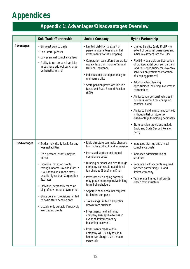# **Appendices**

### **Appendix 1: Advantages/Disadvantages Overview**

|                      | Sole Trader/Partnership                                                                                                                                                                                                                                                                                                                                                                                                                                                 | <b>Limited Company</b>                                                                                                                                                                                                                                                                                                                                                                                                                                                                                                                                                                                                                                                                                          | <b>Hybrid Partnership</b>                                                                                                                                                                                                                                                                                                                                                                                                                                                                                                                                                                                                                                                                     |
|----------------------|-------------------------------------------------------------------------------------------------------------------------------------------------------------------------------------------------------------------------------------------------------------------------------------------------------------------------------------------------------------------------------------------------------------------------------------------------------------------------|-----------------------------------------------------------------------------------------------------------------------------------------------------------------------------------------------------------------------------------------------------------------------------------------------------------------------------------------------------------------------------------------------------------------------------------------------------------------------------------------------------------------------------------------------------------------------------------------------------------------------------------------------------------------------------------------------------------------|-----------------------------------------------------------------------------------------------------------------------------------------------------------------------------------------------------------------------------------------------------------------------------------------------------------------------------------------------------------------------------------------------------------------------------------------------------------------------------------------------------------------------------------------------------------------------------------------------------------------------------------------------------------------------------------------------|
| Advantages           | • Simplest way to trade<br>• Low start up costs<br>• Lower annual compliance fees<br>• Ability to run personal vehicles<br>in business without tax charge<br>on benefits in kind                                                                                                                                                                                                                                                                                        | • Limited Liability (to extent of<br>personal guarantees and initial<br>investment into the company)<br>• Corporation tax suffered on profits<br>usually less than Income Tax and<br>National Insurance<br>· Individual not taxed personally on<br>undrawn profits<br>• State pension provisions include<br>Basic and State Second Pension<br>(S2P)                                                                                                                                                                                                                                                                                                                                                             | • Limited Liability (only if LLP - to<br>extent of personal guarantees and<br>initial investment into the LLP)<br>• Flexibility available on distribution<br>of profits/capital between partners<br>(and thus opportunity for lower tax<br>liabilities on profits/incorporation<br>of sleeping partners)<br>• Additional tax planning<br>opportunities including Investment<br>Partnerships<br>• Ability to run personal vehicles in<br>business without tax charge on<br>benefits in kind<br>• Ability to build investment portfolio<br>without initial or future tax<br>disadvantage to holding personally<br>• State pension provisions include<br>Basic and State Second Pension<br>(S2P) |
| <b>Disadvantages</b> | • Trader individually liable for any<br>losses/liabilities<br>• Own personal assets may be<br>at risk<br>• Individual taxed on profits<br>through Income Tax and Class 2<br>& 4 National Insurance rates -<br>usually higher than Corporation<br>Tax rates<br>• Individual personally taxed on<br>all profits whether drawn or not<br>• State pension provisions limited<br>to basic state pension only<br>• Usually only suitable if relatively<br>low trading profits | • Rigid structure can make changes<br>to structure difficult and expensive<br>• Increased start-up and annual<br>compliance costs<br>• Running personal vehicles through<br>company can result in additional<br>tax charges (Benefits in Kind)<br>• Investors as 'sleeping partners'<br>may prove more expensive in long<br>term if shareholders<br>• Separate bank accounts required<br>for limited company<br>• Tax savings limited if all profits<br>drawn from business<br>• Investments held in limited<br>company susceptible to loss in<br>event of limited company<br>becoming insolvent<br>• Investments made within<br>company will usually result in<br>higher tax charge than if made<br>personally | • Increased start-up and annual<br>compliance costs<br>· Increased administration of<br>structure<br>• Separate bank accounts required<br>for each partnership/LLP and<br>limited company<br>• Tax savings limited if all profits<br>drawn from structure                                                                                                                                                                                                                                                                                                                                                                                                                                     |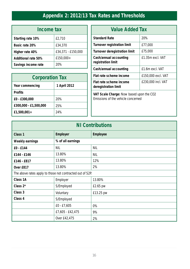### **Appendix 2: 2012/13 Tax Rates and Thresholds**

| Income tax                 |                    |  |
|----------------------------|--------------------|--|
| Starting rate 10%          | £2,710             |  |
| Basic rate 20%             | £34,370            |  |
| Higher rate 40%            | £34,371 - £150,000 |  |
| <b>Additional rate 50%</b> | £150.000 +         |  |
| Savings income rate        | 20%                |  |

| <b>Corporation Tax</b> |              |  |
|------------------------|--------------|--|
| Year commencing        | 1 April 2012 |  |
| <b>Profits</b>         |              |  |
| £0 - £300,000          | 20%          |  |
| £300,000 - £1,500,000  | 25%          |  |
| $£1,500,001+$          | 24%          |  |

| <b>Value Added Tax</b>                                                         |                    |  |  |
|--------------------------------------------------------------------------------|--------------------|--|--|
| <b>Standard Rate</b>                                                           | 20%                |  |  |
| <b>Turnover registration limit</b>                                             | £77,000            |  |  |
| Turnover deregistration limit                                                  | £75,000            |  |  |
| Cash/annual accounting<br>registration limit                                   | £1.35m excl. VAT   |  |  |
| Cash/annual accounting                                                         | £1.6m excl. VAT    |  |  |
| Flat rate scheme income                                                        | £150,000 excl. VAT |  |  |
| Flat rate scheme income<br>deregistration limit                                | £230,000 incl. VAT |  |  |
| VAT Scale Charge: Now based upon the CO2<br>Emissions of the vehicle concerned |                    |  |  |

| <b>NI Contributions</b>                                   |                   |                 |  |
|-----------------------------------------------------------|-------------------|-----------------|--|
| Class <sub>1</sub>                                        | <b>Employer</b>   | <b>Employee</b> |  |
| Weekly earnings                                           | % of all earnings |                 |  |
| £0 - £144                                                 | <b>NIL</b>        | <b>NIL</b>      |  |
| £144 - £146                                               | 13.80%            | <b>NIL</b>      |  |
| £146 - £817                                               | 13.80%            | 12%             |  |
| Over £817                                                 | 13.80%            | 2%              |  |
| The above rates apply to those not contracted out of S2P. |                   |                 |  |
| Class 1A                                                  | Employer          | 13.80%          |  |
| Class $2^*$                                               | S/Employed        | £2.65 pw        |  |
| Class 3                                                   | Voluntary         | £13.25 pw       |  |
| Class 4                                                   | S/Employed        |                 |  |
|                                                           | $£0 - £7,605$     | 0%              |  |
|                                                           | £7,605 - £42,475  | 9%              |  |
|                                                           | Over £42,475      | 2%              |  |